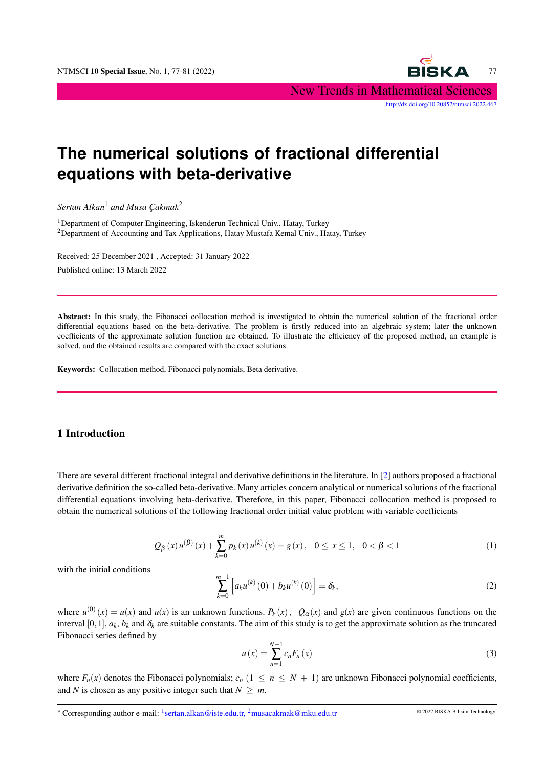New Trends in Mathematical Sciences

[http://dx.doi.org/10.20852/ntmsci.2022.467]( http://dx.doi.org/10.20852/ntmsci.2022.467)

# **The numerical solutions of fractional differential equations with beta-derivative**

*Sertan Alkan*<sup>1</sup> *and Musa Çakmak*<sup>2</sup>

<sup>1</sup>Department of Computer Engineering, Iskenderun Technical Univ., Hatay, Turkey <sup>2</sup>Department of Accounting and Tax Applications, Hatay Mustafa Kemal Univ., Hatay, Turkey

Received: 25 December 2021 , Accepted: 31 January 2022 Published online: 13 March 2022

Abstract: In this study, the Fibonacci collocation method is investigated to obtain the numerical solution of the fractional order differential equations based on the beta-derivative. The problem is firstly reduced into an algebraic system; later the unknown coefficients of the approximate solution function are obtained. To illustrate the efficiency of the proposed method, an example is solved, and the obtained results are compared with the exact solutions.

Keywords: Collocation method, Fibonacci polynomials, Beta derivative.

#### 1 Introduction

There are several different fractional integral and derivative definitions in the literature. In [\[2\]](#page-4-0) authors proposed a fractional derivative definition the so-called beta-derivative. Many articles concern analytical or numerical solutions of the fractional differential equations involving beta-derivative. Therefore, in this paper, Fibonacci collocation method is proposed to obtain the numerical solutions of the following fractional order initial value problem with variable coefficients

$$
Q_{\beta}(x)u^{(\beta)}(x) + \sum_{k=0}^{m} p_k(x)u^{(k)}(x) = g(x), \quad 0 \le x \le 1, \quad 0 < \beta < 1
$$
 (1)

<span id="page-0-1"></span>with the initial conditions

<span id="page-0-0"></span>
$$
\sum_{k=0}^{m-1} \left[ a_k u^{(k)}(0) + b_k u^{(k)}(0) \right] = \delta_k,
$$
\n(2)

where  $u^{(0)}(x) = u(x)$  and  $u(x)$  is an unknown functions.  $P_k(x)$ ,  $Q_\alpha(x)$  and  $g(x)$  are given continuous functions on the interval [0,1],  $a_k$ ,  $b_k$  and  $\delta_k$  are suitable constants. The aim of this study is to get the approximate solution as the truncated Fibonacci series defined by

$$
u(x) = \sum_{n=1}^{N+1} c_n F_n(x)
$$
 (3)

where  $F_n(x)$  denotes the Fibonacci polynomials;  $c_n$  ( $1 \le n \le N + 1$ ) are unknown Fibonacci polynomial coefficients, and *N* is chosen as any positive integer such that  $N > m$ .

\* Corresponding author e-mail: <sup>1</sup>sertan.alkan@iste.edu.tr, <sup>2</sup>musacakmak@mku.edu.tr © 2022 BISKA Bilisim Technology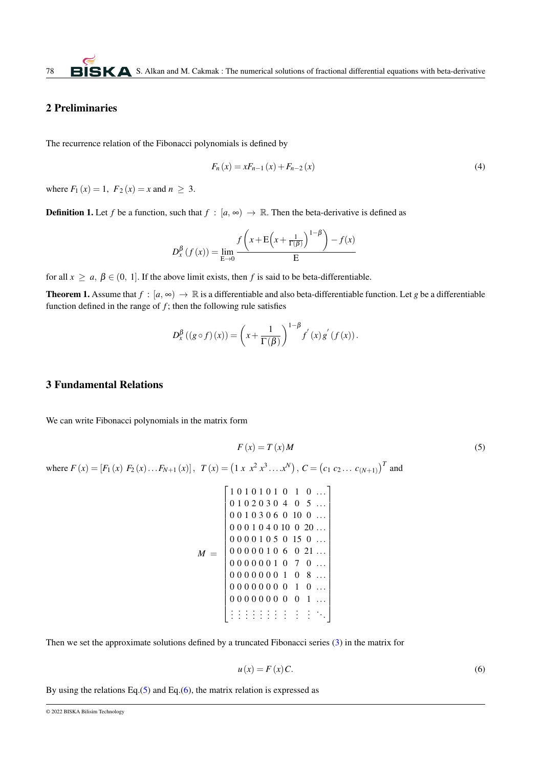## 2 Preliminaries

The recurrence relation of the Fibonacci polynomials is defined by

$$
F_n(x) = xF_{n-1}(x) + F_{n-2}(x)
$$
\n(4)

where  $F_1(x) = 1$ ,  $F_2(x) = x$  and  $n \ge 3$ .

**Definition 1.** Let *f* be a function, such that  $f : [a, \infty) \to \mathbb{R}$ . Then the beta-derivative is defined as

$$
D_{x}^{\beta} (f(x)) = \lim_{\mathbf{E} \to 0} \frac{f\left(x + \mathbf{E}\left(x + \frac{1}{\Gamma(\beta)}\right)^{1-\beta}\right) - f(x)}{\mathbf{E}}
$$

for all  $x \ge a, \beta \in (0, 1]$ . If the above limit exists, then *f* is said to be beta-differentiable.

**Theorem 1.** Assume that  $f : [a, \infty) \to \mathbb{R}$  is a differentiable and also beta-differentiable function. Let *g* be a differentiable function defined in the range of  $f$ ; then the following rule satisfies

$$
D_x^{\beta}\left(\left(g\circ f\right)(x)\right) = \left(x + \frac{1}{\Gamma(\beta)}\right)^{1-\beta} f'(x) g'(f(x)).
$$

#### 3 Fundamental Relations

<span id="page-1-0"></span>We can write Fibonacci polynomials in the matrix form

*F* (*x*) = *T* (*x*)*M* (5) where *F* (*x*) = [*F*<sup>1</sup> (*x*) *F*<sup>2</sup> (*x*)...*FN*+<sup>1</sup> (*x*)], *T* (*x*) = 1 *x x*<sup>2</sup> *x* 3 ....*x N* , *C* = *c*<sup>1</sup> *c*<sup>2</sup> ... *c*(*N*+1) *T* and *M* = . . . . . . . . . . . . . . . . . . . . . . . . . . . . . . . . . 1 0 1 0 1 0 1 0 1 0 ... 0 1 0 2 0 3 0 4 0 5 ... 0 0 1 0 3 0 6 0 10 0 ... 0 0 0 1 0 4 0 10 0 20 ... 0 0 0 0 1 0 5 0 15 0 ... 0 0 0 0 0 1 0 6 0 21 ... 0 0 0 0 0 0 1 0 7 0 ... 0 0 0 0 0 0 0 1 0 8 ... 0 0 0 0 0 0 0 0 1 0 ... 0 0 0 0 0 0 0 0 0 1 ... 

<span id="page-1-1"></span>Then we set the approximate solutions defined by a truncated Fibonacci series [\(3\)](#page-0-0) in the matrix for

$$
u(x) = F(x)C.
$$
 (6)

<span id="page-1-2"></span>By using the relations Eq. $(5)$  and Eq. $(6)$ , the matrix relation is expressed as

<sup>© 2022</sup> BISKA Bilisim Technology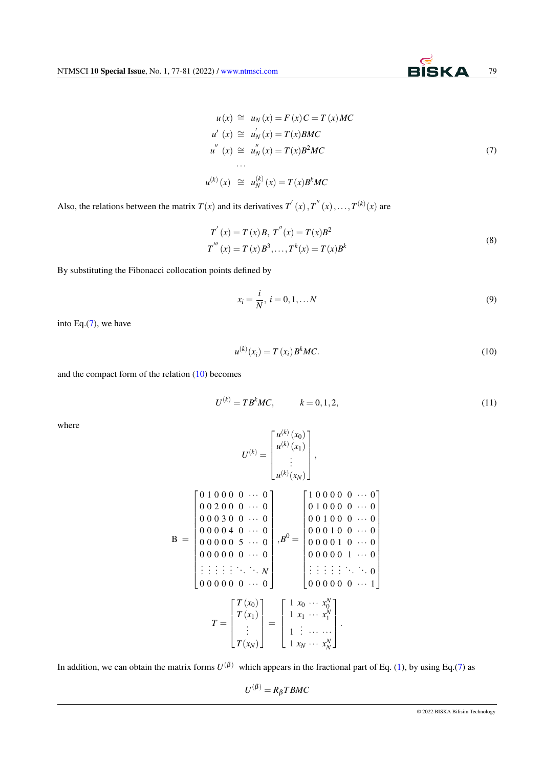$$
u(x) \cong u_N(x) = F(x)C = T(x)MC
$$
  
\n
$$
u'(x) \cong u'_N(x) = T(x)BMC
$$
  
\n
$$
u''(x) \cong u''_N(x) = T(x)B^2MC
$$
  
\n...  
\n
$$
u^{(k)}(x) \cong u_N^{(k)}(x) = T(x)B^kMC
$$
\n(7)

Also, the relations between the matrix  $T(x)$  and its derivatives  $T'(x)$ ,  $T''(x)$ , ...,  $T^{(k)}(x)$  are

$$
T'(x) = T(x)B, T''(x) = T(x)B2
$$
  
\n
$$
T'''(x) = T(x)B3, ..., Tk(x) = T(x)Bk
$$
 (8)

By substituting the Fibonacci collocation points defined by

$$
x_i = \frac{i}{N}, \ i = 0, 1, \dots N
$$
 (9)

<span id="page-2-0"></span>into Eq.[\(7\)](#page-1-2), we have

$$
u^{(k)}(x_i) = T(x_i) B^k MC.
$$
 (10)

and the compact form of the relation [\(10\)](#page-2-0) becomes

$$
U^{(k)} = T B^k M C, \qquad k = 0, 1, 2,
$$
\n(11)

where

$$
U^{(k)} = \begin{bmatrix} u^{(k)}(x_0) \\ u^{(k)}(x_1) \\ \vdots \\ u^{(k)}(x_N) \end{bmatrix},
$$
  
\n
$$
B = \begin{bmatrix} 0 & 1 & 0 & 0 & 0 & \cdots & 0 \\ 0 & 0 & 2 & 0 & 0 & \cdots & 0 \\ 0 & 0 & 0 & 3 & 0 & 0 & \cdots & 0 \\ 0 & 0 & 0 & 0 & 4 & 0 & \cdots & 0 \\ 0 & 0 & 0 & 0 & 5 & \cdots & 0 \\ 0 & 0 & 0 & 0 & 0 & \cdots & 0 \end{bmatrix}, B^{0} = \begin{bmatrix} 1 & 0 & 0 & 0 & 0 & \cdots & 0 \\ 0 & 1 & 0 & 0 & 0 & 0 & \cdots & 0 \\ 0 & 0 & 1 & 0 & 0 & 0 & \cdots & 0 \\ 0 & 0 & 0 & 1 & 0 & \cdots & 0 \\ 0 & 0 & 0 & 0 & 1 & \cdots & 0 \\ \vdots & \vdots & \vdots & \vdots & \ddots & \ddots & \vdots \\ 0 & 0 & 0 & 0 & 0 & 0 & \cdots & 1 \end{bmatrix}
$$
  
\n
$$
T = \begin{bmatrix} T(x_0) \\ T(x_1) \\ \vdots \\ T(x_N) \end{bmatrix} = \begin{bmatrix} 1 & x_0 & \cdots & x_0^N \\ 1 & x_1 & \cdots & x_1^N \\ \vdots & \vdots & \vdots & \ddots & \vdots \\ 1 & x_1 & \cdots & x_N^N \\ 1 & \vdots & \cdots & \cdots & x_N^N \end{bmatrix}.
$$

In addition, we can obtain the matrix forms  $U^{(\beta)}$  which appears in the fractional part of Eq. [\(1\)](#page-0-1), by using Eq.[\(7\)](#page-1-2) as

$$
U^{(\beta)} = R_{\beta} T B M C
$$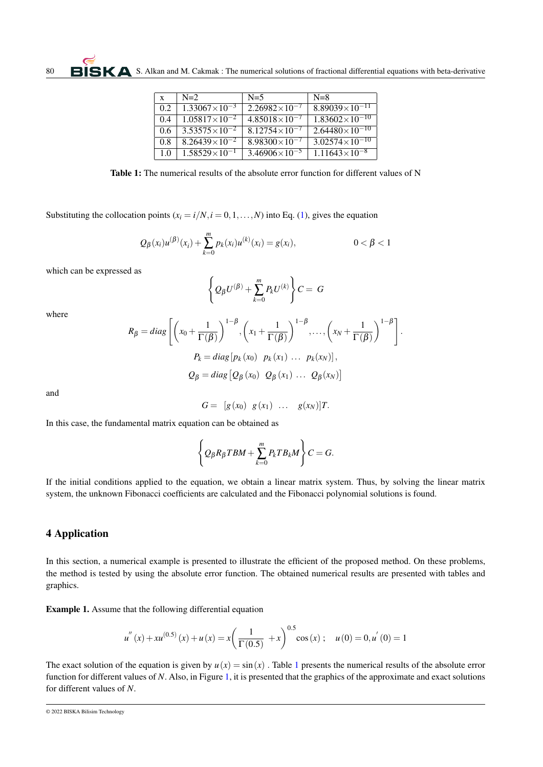| $\mathbf{x}$ | $N=2$                  | $N=5$                  | $N=8$                              |
|--------------|------------------------|------------------------|------------------------------------|
| 0.2          | $1.33067\times10^{-3}$ | $2.26982\times10^{-7}$ | $8.89039\times10^{-11}$            |
| 0.4          | $1.05817\times10^{-2}$ | $4.85018\times10^{-7}$ | $1.83\overline{602\times10^{-10}}$ |
| 0.6          | $3.53575\times10^{-2}$ | $8.12754\times10^{-7}$ | $2.64480\times10^{-10}$            |
| 0.8          | $8.26439\times10^{-2}$ | $8.98300\times10^{-7}$ | $3.02574\times10^{-10}$            |
| 1.0          | $1.58529\times10^{-1}$ | $3.46906\times10^{-5}$ | $1.11643\times10^{-8}$             |

<span id="page-3-0"></span>Table 1: The numerical results of the absolute error function for different values of N

Substituting the collocation points  $(x_i = i/N, i = 0, 1, \ldots, N)$  into Eq. [\(1\)](#page-0-1), gives the equation

$$
Q_{\beta}(x_i)u^{(\beta)}(x_i) + \sum_{k=0}^{m} p_k(x_i)u^{(k)}(x_i) = g(x_i), \qquad 0 < \beta < 1
$$

which can be expressed as

$$
\left\{Q_{\beta}U^{(\beta)} + \sum_{k=0}^{m} P_{k}U^{(k)}\right\}C = G
$$

where

$$
R_{\beta} = diag\left[\left(x_0 + \frac{1}{\Gamma(\beta)}\right)^{1-\beta}, \left(x_1 + \frac{1}{\Gamma(\beta)}\right)^{1-\beta}, \dots, \left(x_N + \frac{1}{\Gamma(\beta)}\right)^{1-\beta}\right].
$$
  
\n
$$
P_k = diag\left[p_k(x_0) \ p_k(x_1) \dots p_k(x_N)\right],
$$
  
\n
$$
Q_{\beta} = diag\left[Q_{\beta}(x_0) \ Q_{\beta}(x_1) \dots Q_{\beta}(x_N)\right]
$$

and

$$
G = [g(x_0) \quad g(x_1) \quad \dots \quad g(x_N)]T.
$$

In this case, the fundamental matrix equation can be obtained as

$$
\left\{Q_{\beta}R_{\beta}TBM+\sum_{k=0}^{m}P_{k}TB_{k}M\right\}C=G.
$$

If the initial conditions applied to the equation, we obtain a linear matrix system. Thus, by solving the linear matrix system, the unknown Fibonacci coefficients are calculated and the Fibonacci polynomial solutions is found.

## 4 Application

In this section, a numerical example is presented to illustrate the efficient of the proposed method. On these problems, the method is tested by using the absolute error function. The obtained numerical results are presented with tables and graphics.

Example 1. Assume that the following differential equation

$$
u''(x) + xu^{(0.5)}(x) + u(x) = x \left(\frac{1}{\Gamma(0.5)} + x\right)^{0.5} \cos(x); \quad u(0) = 0, u'(0) = 1
$$

The exact solution of the equation is given by  $u(x) = \sin(x)$ . Table [1](#page-3-0) presents the numerical results of the absolute error function for different values of *N*. Also, in Figure [1,](#page-4-1) it is presented that the graphics of the approximate and exact solutions for different values of *N*.

<sup>© 2022</sup> BISKA Bilisim Technology